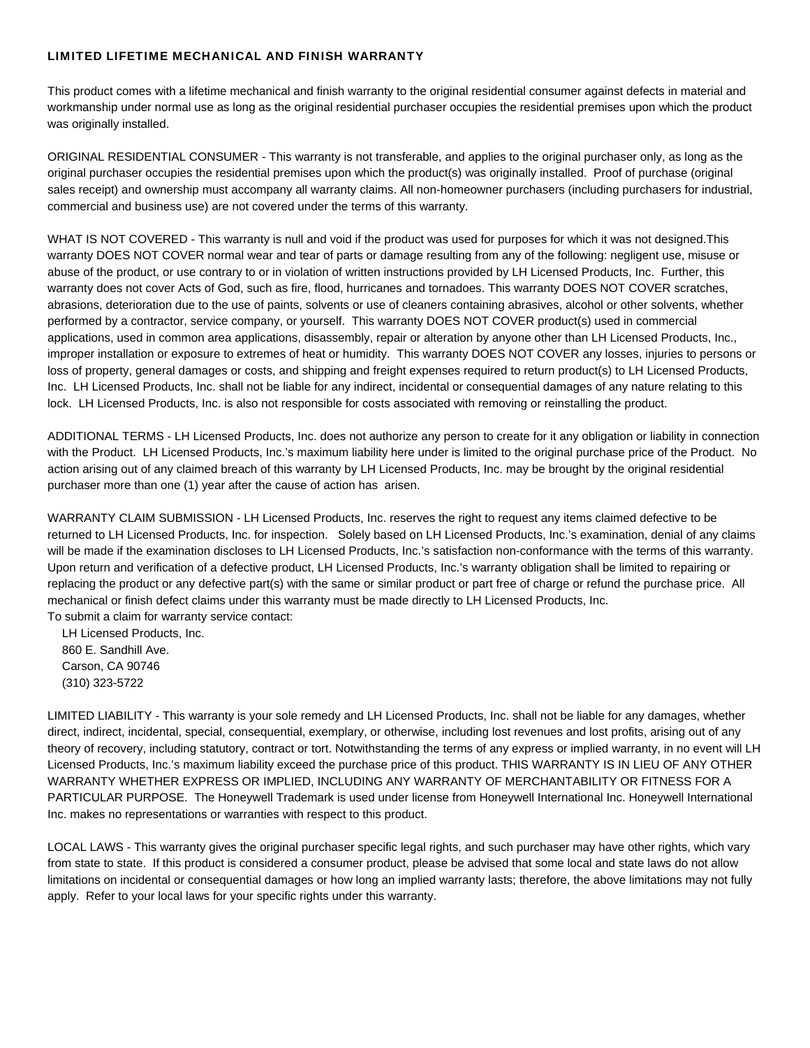## LIMITED LIFETIME MECHANICAL AND FINISH WARRANTY

This product comes with a lifetime mechanical and finish warranty to the original residential consumer against defects in material and workmanship under normal use as long as the original residential purchaser occupies the residential premises upon which the product was originally installed.

ORIGINAL RESIDENTIAL CONSUMER - This warranty is not transferable, and applies to the original purchaser only, as long as the original purchaser occupies the residential premises upon which the product(s) was originally installed. Proof of purchase (original sales receipt) and ownership must accompany all warranty claims. All non-homeowner purchasers (including purchasers for industrial, commercial and business use) are not covered under the terms of this warranty.

WHAT IS NOT COVERED - This warranty is null and void if the product was used for purposes for which it was not designed.This warranty DOES NOT COVER normal wear and tear of parts or damage resulting from any of the following: negligent use, misuse or abuse of the product, or use contrary to or in violation of written instructions provided by LH Licensed Products, Inc. Further, this warranty does not cover Acts of God, such as fire, flood, hurricanes and tornadoes. This warranty DOES NOT COVER scratches, abrasions, deterioration due to the use of paints, solvents or use of cleaners containing abrasives, alcohol or other solvents, whether performed by a contractor, service company, or yourself. This warranty DOES NOT COVER product(s) used in commercial applications, used in common area applications, disassembly, repair or alteration by anyone other than LH Licensed Products, Inc., improper installation or exposure to extremes of heat or humidity. This warranty DOES NOT COVER any losses, injuries to persons or loss of property, general damages or costs, and shipping and freight expenses required to return product(s) to LH Licensed Products, Inc. LH Licensed Products, Inc. shall not be liable for any indirect, incidental or consequential damages of any nature relating to this lock. LH Licensed Products, Inc. is also not responsible for costs associated with removing or reinstalling the product.

ADDITIONAL TERMS - LH Licensed Products, Inc. does not authorize any person to create for it any obligation or liability in connection with the Product. LH Licensed Products, Inc.'s maximum liability here under is limited to the original purchase price of the Product. No action arising out of any claimed breach of this warranty by LH Licensed Products, Inc. may be brought by the original residential purchaser more than one (1) year after the cause of action has arisen.

WARRANTY CLAIM SUBMISSION - LH Licensed Products, Inc. reserves the right to request any items claimed defective to be returned to LH Licensed Products, Inc. for inspection. Solely based on LH Licensed Products, Inc.'s examination, denial of any claims will be made if the examination discloses to LH Licensed Products, Inc.'s satisfaction non-conformance with the terms of this warranty. Upon return and verification of a defective product, LH Licensed Products, Inc.'s warranty obligation shall be limited to repairing or replacing the product or any defective part(s) with the same or similar product or part free of charge or refund the purchase price. All mechanical or finish defect claims under this warranty must be made directly to LH Licensed Products, Inc. To submit a claim for warranty service contact:

LH Licensed Products, Inc. 860 E. Sandhill Ave. Carson, CA 90746 (310) 323-5722

LIMITED LIABILITY - This warranty is your sole remedy and LH Licensed Products, Inc. shall not be liable for any damages, whether direct, indirect, incidental, special, consequential, exemplary, or otherwise, including lost revenues and lost profits, arising out of any theory of recovery, including statutory, contract or tort. Notwithstanding the terms of any express or implied warranty, in no event will LH Licensed Products, Inc.'s maximum liability exceed the purchase price of this product. THIS WARRANTY IS IN LIEU OF ANY OTHER WARRANTY WHETHER EXPRESS OR IMPLIED, INCLUDING ANY WARRANTY OF MERCHANTABILITY OR FITNESS FOR A PARTICULAR PURPOSE. The Honeywell Trademark is used under license from Honeywell International Inc. Honeywell International Inc. makes no representations or warranties with respect to this product.

LOCAL LAWS - This warranty gives the original purchaser specific legal rights, and such purchaser may have other rights, which vary from state to state. If this product is considered a consumer product, please be advised that some local and state laws do not allow limitations on incidental or consequential damages or how long an implied warranty lasts; therefore, the above limitations may not fully apply. Refer to your local laws for your specific rights under this warranty.